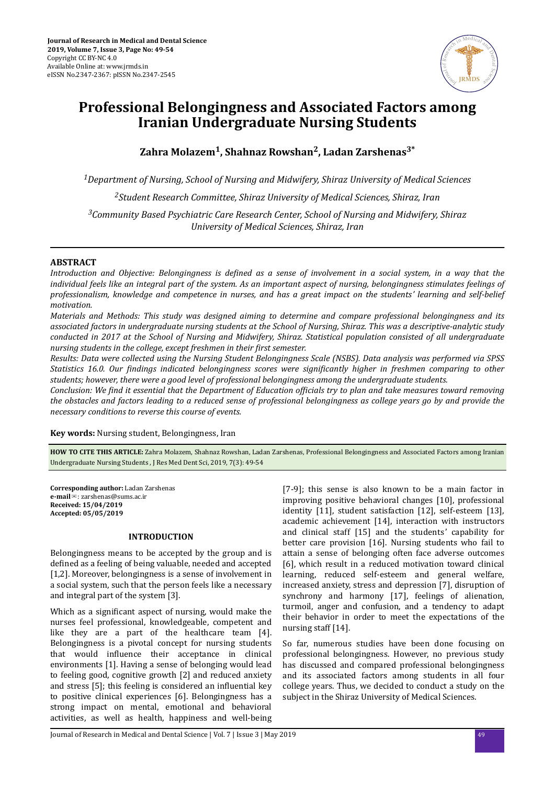

# **Professional Belongingness and Associated Factors among Iranian Undergraduate Nursing Students**

**Zahra Molazem<sup>1</sup> , Shahnaz Rowshan<sup>2</sup> , Ladan Zarshenas3\***

*<sup>1</sup>Department of Nursing, School of Nursing and Midwifery, Shiraz University of Medical Sciences <sup>2</sup>Student Research Committee, Shiraz University of Medical Sciences, Shiraz, Iran*

*<sup>3</sup>Community Based Psychiatric Care Research Center, School of Nursing and Midwifery, Shiraz University of Medical Sciences, Shiraz, Iran*

# **ABSTRACT**

*Introduction and Objective: Belongingness is defined as a sense of involvement in a social system, in a way that the individual feels like an integral part of the system. As an important aspect of nursing, belongingness stimulates feelings of professionalism, knowledge and competence in nurses, and has a great impact on the students' learning and self-belief motivation.*

*Materials and Methods: This study was designed aiming to determine and compare professional belongingness and its associated factors in undergraduate nursing students at the School of Nursing, Shiraz. This was a descriptive-analytic study conducted in 2017 at the School of Nursing and Midwifery, Shiraz. Statistical population consisted of all undergraduate nursing students in the college, except freshmen in their first semester.* 

*Results: Data were collected using the Nursing Student Belongingness Scale (NSBS). Data analysis was performed via SPSS Statistics 16.0. Our ϔndngs indicated belongingness scores were sgnϔcnt higher in freshmen comparing to other students; however, there were a good level of professional belongingness among the undergraduate students.*

*Conclusion: We find it essential that the Department of Education officials try to plan and take measures toward removing the obstacles and factors leading to a reduced sense of professional belongingness as college years go by and provide the necessary conditions to reverse this course of events.*

**Key words:** Nursing student, Belongingness, Iran

**HOW TO CITE THIS ARTICLE:** Zahra Molazem, Shahnaz Rowshan, Ladan Zarshenas, Professional Belongingness and Associated Factors among Iranian Undergraduate Nursing Students , J Res Med Dent Sci, 2019, 7(3): 49-54

**Corresponding author:** Ladan Zarshenas **e-mail**✉: zarshenas@sums.ac.ir **Received: 15/04/2019 Accepted: 05/05/2019**

# **INTRODUCTION**

Belongingness means to be accepted by the group and is defined as a feeling of being valuable, needed and accepted [1,2]. Moreover, belongingness is a sense of involvement in a social system, such that the person feels like a necessary and integral part of the system [3].

Which as a significant aspect of nursing, would make the nurses feel professional, knowledgeable, competent and like they are a part of the healthcare team [4]. Belongingness is a pivotal concept for nursing students that would influence their acceptance in clinical environments [1]. Having a sense of belonging would lead to feeling good, cognitive growth [2] and reduced anxiety and stress  $[5]$ ; this feeling is considered an influential key to positive clinical experiences [6]. Belongingness has a strong impact on mental, emotional and behavioral activities, as well as health, happiness and well-being

[7-9]; this sense is also known to be a main factor in improving positive behavioral changes [10], professional identity [11], student satisfaction [12], self-esteem [13], academic achievement [14], interaction with instructors and clinical staff [15] and the students' capability for better care provision [16]. Nursing students who fail to attain a sense of belonging often face adverse outcomes [6], which result in a reduced motivation toward clinical learning, reduced self-esteem and general welfare, increased anxiety, stress and depression [7], disruption of synchrony and harmony [17], feelings of alienation, turmoil, anger and confusion, and a tendency to adapt their behavior in order to meet the expectations of the nursing staff [14].

So far, numerous studies have been done focusing on professional belongingness. However, no previous study has discussed and compared professional belongingness and its associated factors among students in all four college years. Thus, we decided to conduct a study on the subject in the Shiraz University of Medical Sciences.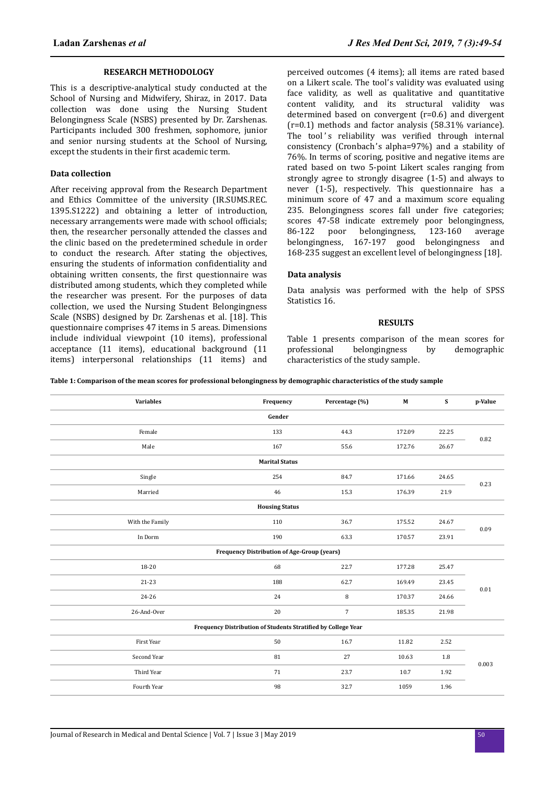#### **RESEARCH METHODOLOGY**

This is a descriptive-analytical study conducted at the School of Nursing and Midwifery, Shiraz, in 2017. Data collection was done using the Nursing Student Belongingness Scale (NSBS) presented by Dr. Zarshenas. Participants included 300 freshmen, sophomore, junior and senior nursing students at the School of Nursing, except the students in their first academic term.

### **Data collection**

After receiving approval from the Research Department and Ethics Committee of the university (IR.SUMS.REC. 1395.S1222) and obtaining a letter of introduction, necessary arrangements were made with school officials; then, the researcher personally attended the classes and the clinic based on the predetermined schedule in order to conduct the research. After stating the objectives, ensuring the students of information confidentiality and obtaining written consents, the first questionnaire was distributed among students, which they completed while the researcher was present. For the purposes of data collection, we used the Nursing Student Belongingness Scale (NSBS) designed by Dr. Zarshenas et al. [18]. This questionnaire comprises 47 items in 5 areas. Dimensions include individual viewpoint (10 items), professional acceptance (11 items), educational background (11 items) interpersonal relationships (11 items) and perceived outcomes (4 items); all items are rated based on a Likert scale. The tool's validity was evaluated using face validity, as well as qualitative and quantitative content validity, and its structural validity was determined based on convergent (r=0.6) and divergent (r=0.1) methods and factor analysis (58.31% variance). The tool's reliability was verified through internal consistency (Cronbach's alpha=97%) and a stability of 76%. In terms of scoring, positive and negative items are rated based on two 5-point Likert scales ranging from strongly agree to strongly disagree (1-5) and always to never (1-5), respectively. This questionnaire has a minimum score of 47 and a maximum score equaling 235. Belongingness scores fall under five categories; scores 47-58 indicate extremely poor belongingness, 86-122 poor belongingness, 123-160 average belongingness, 167-197 good belongingness and 168-235 suggest an excellent level of belongingness [18].

#### **Data analysis**

Data analysis was performed with the help of SPSS Statistics 16.

#### **RESULTS**

Table 1 presents comparison of the mean scores for professional belongingness by demographic characteristics of the study sample.

**Table 1: Comparison of the mean scores for professional belongingness by demographic characteristics of the study sample**

| <b>Variables</b>                                              | Frequency | Percentage (%)       | $\mathbf M$ | S     | p-Value |  |  |  |  |
|---------------------------------------------------------------|-----------|----------------------|-------------|-------|---------|--|--|--|--|
| Gender                                                        |           |                      |             |       |         |  |  |  |  |
| Female                                                        | 133       | 44.3                 | 172.09      | 22.25 | 0.82    |  |  |  |  |
| Male                                                          | 167       | 55.6                 | 172.76      | 26.67 |         |  |  |  |  |
| <b>Marital Status</b>                                         |           |                      |             |       |         |  |  |  |  |
| Single                                                        | 254       | 84.7                 | 171.66      | 24.65 | 0.23    |  |  |  |  |
| Married                                                       | 46        | 15.3                 | 176.39      | 21.9  |         |  |  |  |  |
| <b>Housing Status</b>                                         |           |                      |             |       |         |  |  |  |  |
| With the Family                                               | 110       | 36.7                 | 175.52      | 24.67 |         |  |  |  |  |
| In Dorm                                                       | 190       | 63.3                 | 170.57      | 23.91 | 0.09    |  |  |  |  |
| <b>Frequency Distribution of Age-Group (years)</b>            |           |                      |             |       |         |  |  |  |  |
| 18-20                                                         | 68        | 22.7                 | 177.28      | 25.47 |         |  |  |  |  |
| 21-23                                                         | 188       | 62.7                 | 169.49      | 23.45 | 0.01    |  |  |  |  |
| 24-26                                                         | 24        | 8<br>170.37<br>24.66 |             |       |         |  |  |  |  |
| 26-And-Over                                                   | 20        | $\overline{7}$       | 185.35      | 21.98 |         |  |  |  |  |
| Frequency Distribution of Students Stratified by College Year |           |                      |             |       |         |  |  |  |  |
| First Year                                                    | 50        | 16.7                 | 11.82       | 2.52  |         |  |  |  |  |
| Second Year                                                   | 81        | 27                   | 10.63       | 1.8   |         |  |  |  |  |
| Third Year                                                    | 71        | 23.7                 | 10.7        | 1.92  | 0.003   |  |  |  |  |
| Fourth Year                                                   | 98        | 32.7                 | 1059        | 1.96  |         |  |  |  |  |
|                                                               |           |                      |             |       |         |  |  |  |  |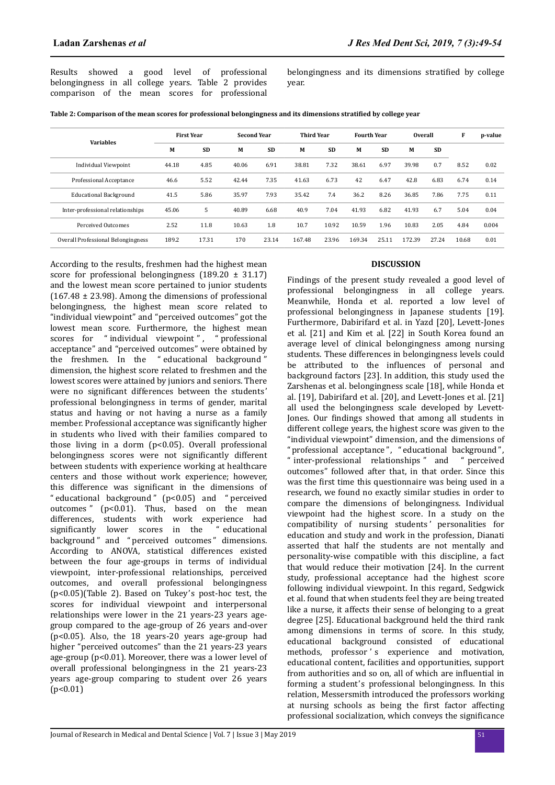Results showed a good level of professional belongingness in all college years. Table 2 provides comparison of the mean scores for professional belongingness and its dimensions stratified by college year.

| <b>Variables</b>                   | <b>First Year</b> |           |       | <b>Second Year</b> |        | <b>Third Year</b> |        | <b>Fourth Year</b> |        | <b>Overall</b> |       | p-value |
|------------------------------------|-------------------|-----------|-------|--------------------|--------|-------------------|--------|--------------------|--------|----------------|-------|---------|
|                                    | M                 | <b>SD</b> | M     | <b>SD</b>          | M      | <b>SD</b>         | М      | <b>SD</b>          | M      | <b>SD</b>      |       |         |
| <b>Individual Viewpoint</b>        | 44.18             | 4.85      | 40.06 | 6.91               | 38.81  | 7.32              | 38.61  | 6.97               | 39.98  | 0.7            | 8.52  | 0.02    |
| Professional Acceptance            | 46.6              | 5.52      | 42.44 | 7.35               | 41.63  | 6.73              | 42     | 6.47               | 42.8   | 6.83           | 6.74  | 0.14    |
| <b>Educational Background</b>      | 41.5              | 5.86      | 35.97 | 7.93               | 35.42  | 7.4               | 36.2   | 8.26               | 36.85  | 7.86           | 7.75  | 0.11    |
| Inter-professional relationships   | 45.06             | 5         | 40.89 | 6.68               | 40.9   | 7.04              | 41.93  | 6.82               | 41.93  | 6.7            | 5.04  | 0.04    |
| <b>Perceived Outcomes</b>          | 2.52              | 11.8      | 10.63 | 1.8                | 10.7   | 10.92             | 10.59  | 1.96               | 10.83  | 2.05           | 4.84  | 0.004   |
| Overall Professional Belongingness | 189.2             | 17.31     | 170   | 23.14              | 167.48 | 23.96             | 169.34 | 25.11              | 172.39 | 27.24          | 10.68 | 0.01    |

According to the results, freshmen had the highest mean score for professional belongingness  $(189.20 \pm 31.17)$ and the lowest mean score pertained to junior students  $(167.48 \pm 23.98)$ . Among the dimensions of professional belongingness, the highest mean score related to "individual viewpoint" and "perceived outcomes" got the lowest mean score. Furthermore, the highest mean scores for "individual viewpoint", "professional acceptance" and "perceived outcomes" were obtained by the freshmen. In the " educational background " dimension, the highest score related to freshmen and the lowest scores were attained by juniors and seniors. There were no significant differences between the students' professional belongingness in terms of gender, marital status and having or not having a nurse as a family member. Professional acceptance was significantly higher in students who lived with their families compared to those living in a dorm (p<0.05). Overall professional belongingness scores were not significantly different between students with experience working at healthcare centers and those without work experience; however, this difference was significant in the dimensions of " educational background " (p<0.05) and " perceived outcomes " (p<0.01). Thus, based on the mean differences, students with work experience had significantly lower scores in the " educational background" and " perceived outcomes" dimensions. According to ANOVA, statistical differences existed between the four age-groups in terms of individual viewpoint, inter-professional relationships, perceived outcomes, and overall professional belongingness (p<0.05)(Table 2). Based on Tukey's post-hoc test, the scores for individual viewpoint and interpersonal relationships were lower in the 21 years-23 years agegroup compared to the age-group of 26 years and-over (p<0.05). Also, the 18 years-20 years age-group had higher "perceived outcomes" than the 21 years-23 years age-group (p<0.01). Moreover, there was a lower level of overall professional belongingness in the 21 years-23 years age-group comparing to student over 26 years  $(p<0.01)$ 

# **DISCUSSION**

Findings of the present study revealed a good level of professional belongingness in all college years. Meanwhile, Honda et al. reported a low level of professional belongingness in Japanese students [19]. Furthermore, Dabirifard et al. in Yazd [20], Levett-Jones et al. [21] and Kim et al. [22] in South Korea found an average level of clinical belongingness among nursing students. These differences in belongingness levels could be attributed to the influences of personal and background factors [23]. In addition, this study used the Zarshenas et al. belongingness scale [18], while Honda et al. [19], Dabirifard et al. [20], and Levett-Jones et al. [21] all used the belongingness scale developed by Levett-Jones. Our findings showed that among all students in different college years, the highest score was given to the "individual viewpoint" dimension, and the dimensions of "professional acceptance ", " educational background" , " inter-professional relationships " and " perceived outcomes" followed after that, in that order. Since this was the first time this questionnaire was being used in a research, we found no exactly similar studies in order to compare the dimensions of belongingness. Individual viewpoint had the highest score. In a study on the compatibility of nursing students' personalities for education and study and work in the profession, Dianati asserted that half the students are not mentally and personality-wise compatible with this discipline, a fact that would reduce their motivation [24]. In the current study, professional acceptance had the highest score following individual viewpoint. In this regard, Sedgwick et al. found that when students feel they are being treated like a nurse, it affects their sense of belonging to a great degree [25]. Educational background held the third rank among dimensions in terms of score. In this study, educational background consisted of educational methods, professor's experience and motivation, educational content, facilities and opportunities, support from authorities and so on, all of which are influential in forming a student's professional belongingness. In this relation, Messersmith introduced the professors working at nursing schools as being the first factor affecting professional socialization, which conveys the significance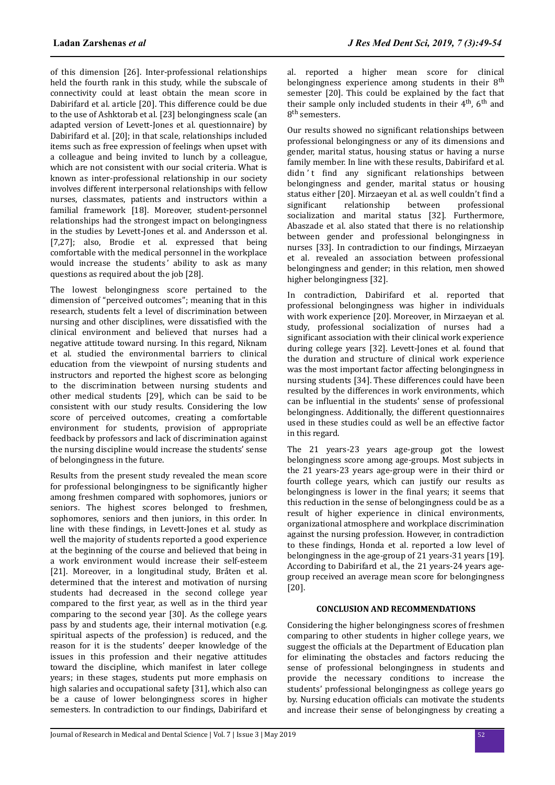of this dimension [26]. Inter-professional relationships held the fourth rank in this study, while the subscale of connectivity could at least obtain the mean score in Dabirifard et al. article [20]. This difference could be due to the use of Ashktorab et al. [23] belongingness scale (an adapted version of Levett-Jones et al. questionnaire) by Dabirifard et al. [20]; in that scale, relationships included items such as free expression of feelings when upset with a colleague and being invited to lunch by a colleague, which are not consistent with our social criteria. What is known as inter-professional relationship in our society involves different interpersonal relationships with fellow nurses, classmates, patients and instructors within a familial framework [18]. Moreover, student-personnel relationships had the strongest impact on belongingness in the studies by Levett-Jones et al. and Andersson et al. [7,27]; also, Brodie et al. expressed that being comfortable with the medical personnel in the workplace would increase the students' ability to ask as many questions as required about the job [28].

The lowest belongingness score pertained to the dimension of "perceived outcomes"; meaning that in this research, students felt a level of discrimination between nursing and other disciplines, were dissatisfied with the clinical environment and believed that nurses had a negative attitude toward nursing. In this regard, Niknam et al. studied the environmental barriers to clinical education from the viewpoint of nursing students and instructors and reported the highest score as belonging to the discrimination between nursing students and other medical students [29], which can be said to be consistent with our study results. Considering the low score of perceived outcomes, creating a comfortable environment for students, provision of appropriate feedback by professors and lack of discrimination against the nursing discipline would increase the students' sense of belongingness in the future.

Results from the present study revealed the mean score for professional belongingness to be significantly higher among freshmen compared with sophomores, juniors or seniors. The highest scores belonged to freshmen, sophomores, seniors and then juniors, in this order. In line with these findings, in Levett-Jones et al. study as well the majority of students reported a good experience at the beginning of the course and believed that being in a work environment would increase their self-esteem [21]. Moreover, in a longitudinal study, Bråten et al. determined that the interest and motivation of nursing students had decreased in the second college year compared to the first year, as well as in the third year comparing to the second year [30]. As the college years pass by and students age, their internal motivation (e.g. spiritual aspects of the profession) is reduced, and the reason for it is the students' deeper knowledge of the issues in this profession and their negative attitudes toward the discipline, which manifest in later college years; in these stages, students put more emphasis on high salaries and occupational safety [31], which also can be a cause of lower belongingness scores in higher semesters. In contradiction to our findings, Dabirifard et

al. reported a higher mean score for clinical belongingness experience among students in their  $8<sup>th</sup>$ semester [20]. This could be explained by the fact that their sample only included students in their 4<sup>th</sup>, 6<sup>th</sup> and 8<sup>th</sup> semesters.

Our results showed no significant relationships between professional belongingness or any of its dimensions and gender, marital status, housing status or having a nurse family member. In line with these results, Dabirifard et al. didn't find any significant relationships between belongingness and gender, marital status or housing status either [20]. Mirzaeyan et al. as well couldn't find a significant relationship between professional socialization and marital status [32]. Furthermore, Abaszade et al. also stated that there is no relationship between gender and professional belongingness in nurses [33]. In contradiction to our findings, Mirzaeyan et al. revealed an association between professional belongingness and gender; in this relation, men showed higher belongingness [32].

In contradiction, Dabirifard et al. reported that professional belongingness was higher in individuals with work experience [20]. Moreover, in Mirzaeyan et al. study, professional socialization of nurses had a significant association with their clinical work experience during college years [32]. Levett-Jones et al. found that the duration and structure of clinical work experience was the most important factor affecting belongingness in nursing students [34]. These differences could have been resulted by the differences in work environments, which can be influential in the students' sense of professional belongingness. Additionally, the different questionnaires used in these studies could as well be an effective factor in this regard.

The 21 years-23 years age-group got the lowest belongingness score among age-groups. Most subjects in the 21 years-23 years age-group were in their third or fourth college years, which can justify our results as belongingness is lower in the final years; it seems that this reduction in the sense of belongingness could be as a result of higher experience in clinical environments, organizational atmosphere and workplace discrimination against the nursing profession. However, in contradiction to these findings, Honda et al. reported a low level of belongingness in the age-group of 21 years-31 years [19]. According to Dabirifard et al., the 21 years-24 years agegroup received an average mean score for belongingness [20].

# **CONCLUSION AND RECOMMENDATIONS**

Considering the higher belongingness scores of freshmen comparing to other students in higher college years, we suggest the officials at the Department of Education plan for eliminating the obstacles and factors reducing the sense of professional belongingness in students and provide the necessary conditions to increase the students' professional belongingness as college years go by. Nursing education officials can motivate the students and increase their sense of belongingness by creating a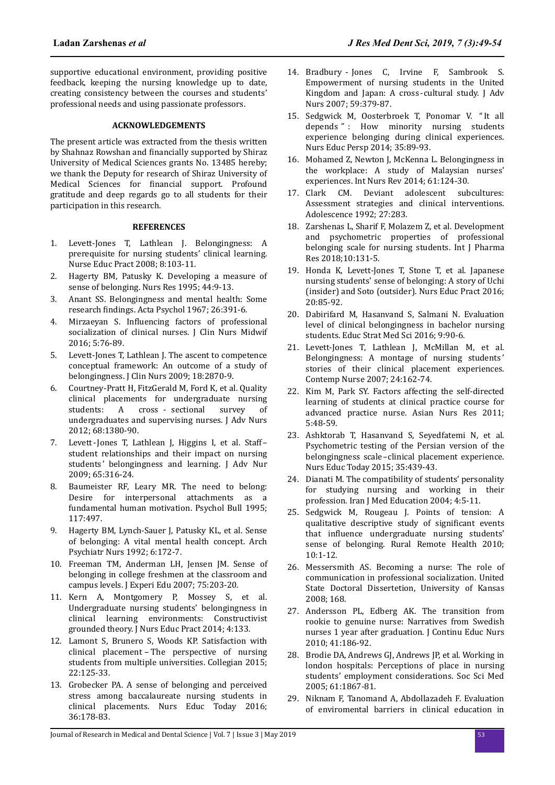supportive educational environment, providing positive feedback, keeping the nursing knowledge up to date, creating consistency between the courses and students' professional needs and using passionate professors.

## **ACKNOWLEDGEMENTS**

The present article was extracted from the thesis written by Shahnaz Rowshan and financially supported by Shiraz University of Medical Sciences grants No. 13485 hereby; we thank the Deputy for research of Shiraz University of Medical Sciences for financial support. Profound gratitude and deep regards go to all students for their participation in this research.

## **REFERENCES**

- 1. Levett-Jones T, Lathlean J. Belongingness: A prerequisite for nursing students' clinical learning. Nurse Educ Pract 2008; 8:103-11.
- 2. Hagerty BM, Patusky K. Developing a measure of sense of belonging. Nurs Res 1995; 44:9-13.
- 3. Anant SS. Belongingness and mental health: Some research findings. Acta Psychol 1967; 26:391-6.
- 4. Mirzaeyan S. Influencing factors of professional socialization of clinical nurses. J Clin Nurs Midwif 2016; 5:76-89.
- 5. Levett-Jones T, Lathlean J. The ascent to competence conceptual framework: An outcome of a study of belongingness. J Clin Nurs 2009; 18:2870-9.
- 6. Courtney-Pratt H, FitzGerald M, Ford K, et al. Quality clinical placements for undergraduate nursing students: A cross - sectional survey of undergraduates and supervising nurses. J Adv Nurs 2012; 68:1380-90.
- 7. Levett-Jones T, Lathlean J, Higgins I, et al. Staff– student relationships and their impact on nursing students' belongingness and learning. J Adv Nur 2009; 65:316-24.
- 8. Baumeister RF, Leary MR. The need to belong: Desire for interpersonal attachments as a fundamental human motivation. Psychol Bull 1995; 117:497.
- 9. Hagerty BM, Lynch-Sauer J, Patusky KL, et al. Sense of belonging: A vital mental health concept. Arch Psychiatr Nurs 1992; 6:172-7.
- 10. Freeman TM, Anderman LH, Jensen JM. Sense of belonging in college freshmen at the classroom and campus levels. J Experi Edu 2007; 75:203-20.
- 11. Kern A, Montgomery P, Mossey S, et al. Undergraduate nursing students' belongingness in clinical learning environments: Constructivist grounded theory. J Nurs Educ Pract 2014; 4:133.
- 12. Lamont S, Brunero S, Woods KP. Satisfaction with clinical placement – The perspective of nursing students from multiple universities. Collegian 2015; 22:125-33.
- 13. Grobecker PA. A sense of belonging and perceived stress among baccalaureate nursing students in clinical placements. Nurs Educ Today 2016; 36:178-83.
- 14. Bradbury Jones C, Irvine F, Sambrook S. Empowerment of nursing students in the United Kingdom and Japan: A cross-cultural study. J Adv Nurs 2007; 59:379-87.
- 15. Sedgwick M, Oosterbroek T, Ponomar V. "It all depends " : How minority nursing students experience belonging during clinical experiences. Nurs Educ Persp 2014; 35:89-93.
- 16. Mohamed Z, Newton J, McKenna L. Belongingness in the workplace: A study of Malaysian nurses' experiences. Int Nurs Rev 2014; 61:124-30.
- 17. Clark CM. Deviant adolescent subcultures: Assessment strategies and clinical interventions. Adolescence 1992; 27:283.
- 18. Zarshenas L, Sharif F, Molazem Z, et al. Development and psychometric properties of professional belonging scale for nursing students. Int J Pharma Res 2018;10:131-5.
- 19. Honda K, Levett-Jones T, Stone T, et al. Japanese nursing students' sense of belonging: A story of Uchi (insider) and Soto (outsider). Nurs Educ Pract 2016; 20:85-92.
- 20. Dabirifard M, Hasanvand S, Salmani N. Evaluation level of clinical belongingness in bachelor nursing students. Educ Strat Med Sci 2016; 9:90-6.
- 21. Levett-Jones T, Lathlean J, McMillan M, et al. Belongingness: A montage of nursing students ' stories of their clinical placement experiences. Contemp Nurse 2007; 24:162-74.
- 22. Kim M, Park SY. Factors affecting the self-directed learning of students at clinical practice course for advanced practice nurse. Asian Nurs Res 2011; 5:48-59.
- 23. Ashktorab T, Hasanvand S, Seyedfatemi N, et al. Psychometric testing of the Persian version of the belongingness scale–clinical placement experience. Nurs Educ Today 2015; 35:439-43.
- 24. Dianati M. The compatibility of students' personality for studying nursing and working in their profession. Iran J Med Education 2004; 4:5-11.
- 25. Sedgwick M, Rougeau J. Points of tension: A qualitative descriptive study of significant events that influence undergraduate nursing students' sense of belonging. Rural Remote Health 2010; 10:1-12.
- 26. Messersmith AS. Becoming a nurse: The role of communication in professional socialization. United State Doctoral Dissertetion, University of Kansas 2008; 168.
- 27. Andersson PL, Edberg AK. The transition from rookie to genuine nurse: Narratives from Swedish nurses 1 year after graduation. J Continu Educ Nurs 2010; 41:186-92.
- 28. Brodie DA, Andrews GJ, Andrews JP, et al. Working in london hospitals: Perceptions of place in nursing students' employment considerations. Soc Sci Med 2005; 61:1867-81.
- 29. Niknam F, Tanomand A, Abdollazadeh F. Evaluation of enviromental barriers in clinical education in